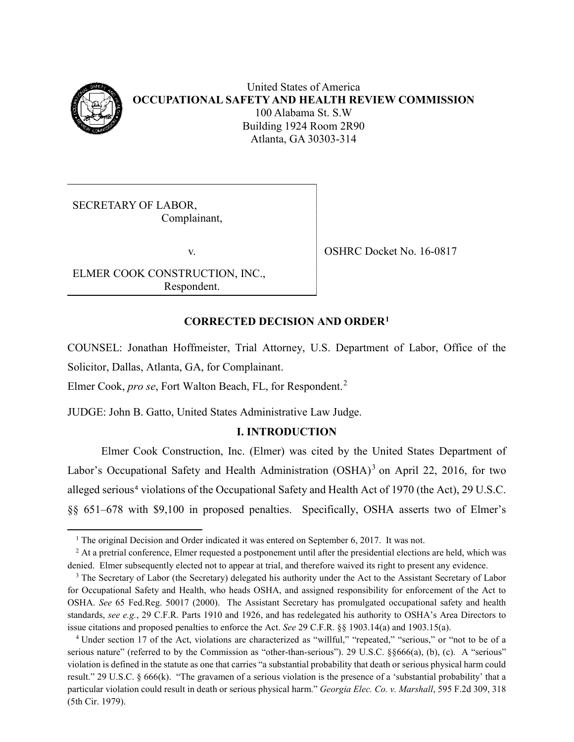

l

SECRETARY OF LABOR, Complainant,

ELMER COOK CONSTRUCTION, INC., Respondent.

v. SHRC Docket No. 16-0817

# **CORRECTED DECISION AND ORDER[1](#page-0-0)**

COUNSEL: Jonathan Hoffmeister, Trial Attorney, U.S. Department of Labor, Office of the Solicitor, Dallas, Atlanta, GA, for Complainant.

Elmer Cook, *pro se*, Fort Walton Beach, FL, for Respondent.[2](#page-0-1)

JUDGE: John B. Gatto, United States Administrative Law Judge.

# **I. INTRODUCTION**

Elmer Cook Construction, Inc. (Elmer) was cited by the United States Department of Labor's Occupational Safety and Health Administration  $(OSHA)^3$  $(OSHA)^3$  on April 22, 2016, for two alleged serious<sup>[4](#page-0-3)</sup> violations of the Occupational Safety and Health Act of 1970 (the Act), 29 U.S.C. §§ 651–678 with \$9,100 in proposed penalties. Specifically, OSHA asserts two of Elmer's

<sup>&</sup>lt;sup>1</sup> The original Decision and Order indicated it was entered on September 6, 2017. It was not.

<span id="page-0-1"></span><span id="page-0-0"></span><sup>&</sup>lt;sup>2</sup> At a pretrial conference, Elmer requested a postponement until after the presidential elections are held, which was denied. Elmer subsequently elected not to appear at trial, and therefore waived its right to present any evidence.

<span id="page-0-2"></span><sup>&</sup>lt;sup>3</sup> The Secretary of Labor (the Secretary) delegated his authority under the Act to the Assistant Secretary of Labor for Occupational Safety and Health, who heads OSHA, and assigned responsibility for enforcement of the Act to OSHA. *See* 65 Fed.Reg. 50017 (2000). The Assistant Secretary has promulgated occupational safety and health standards, *see e.g.*, 29 C.F.R. Parts 1910 and 1926, and has redelegated his authority to OSHA's Area Directors to issue citations and proposed penalties to enforce the Act. *See* 29 C.F.R. §§ 1903.14(a) and 1903.15(a).

<span id="page-0-3"></span><sup>4</sup> Under section 17 of the Act, violations are characterized as "willful," "repeated," "serious," or "not to be of a serious nature" (referred to by the Commission as "other-than-serious"). 29 U.S.C. §§666(a), (b), (c). A "serious" violation is defined in the statute as one that carries "a substantial probability that death or serious physical harm could result." 29 U.S.C. § 666(k). "The gravamen of a serious violation is the presence of a 'substantial probability' that a particular violation could result in death or serious physical harm." *Georgia Elec. Co. v. Marshall*, 595 F.2d 309, 318 (5th Cir. 1979).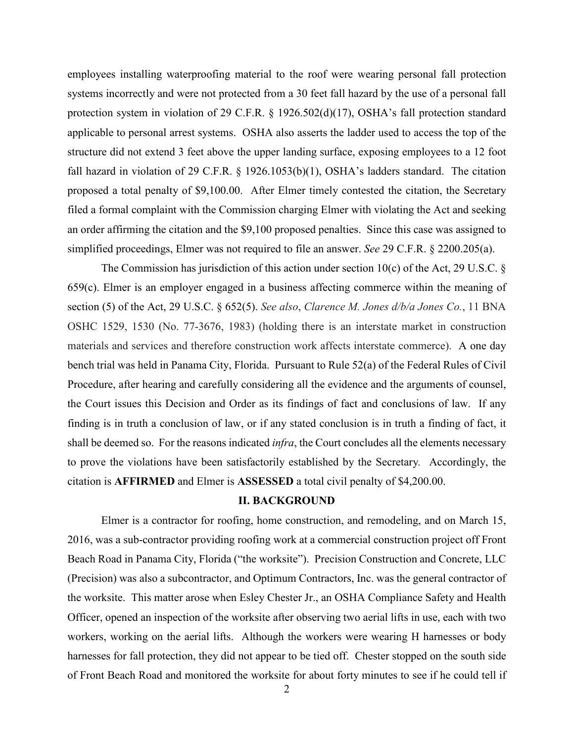employees installing waterproofing material to the roof were wearing personal fall protection systems incorrectly and were not protected from a 30 feet fall hazard by the use of a personal fall protection system in violation of 29 C.F.R. § 1926.502(d)(17), OSHA's fall protection standard applicable to personal arrest systems. OSHA also asserts the ladder used to access the top of the structure did not extend 3 feet above the upper landing surface, exposing employees to a 12 foot fall hazard in violation of 29 C.F.R. § 1926.1053(b)(1), OSHA's ladders standard. The citation proposed a total penalty of \$9,100.00. After Elmer timely contested the citation, the Secretary filed a formal complaint with the Commission charging Elmer with violating the Act and seeking an order affirming the citation and the \$9,100 proposed penalties. Since this case was assigned to simplified proceedings, Elmer was not required to file an answer. *See* 29 C.F.R. § 2200.205(a).

The Commission has jurisdiction of this action under section 10(c) of the Act, 29 U.S.C. § 659(c). Elmer is an employer engaged in a business affecting commerce within the meaning of section (5) of the Act, 29 U.S.C. § 652(5). *See also*, *Clarence M. Jones d/b/a Jones Co.*, 11 BNA OSHC 1529, 1530 (No. 77-3676, 1983) (holding there is an interstate market in construction materials and services and therefore construction work affects interstate commerce). A one day bench trial was held in Panama City, Florida. Pursuant to Rule 52(a) of the Federal Rules of Civil Procedure, after hearing and carefully considering all the evidence and the arguments of counsel, the Court issues this Decision and Order as its findings of fact and conclusions of law. If any finding is in truth a conclusion of law, or if any stated conclusion is in truth a finding of fact, it shall be deemed so. For the reasons indicated *infra*, the Court concludes all the elements necessary to prove the violations have been satisfactorily established by the Secretary*.* Accordingly, the citation is **AFFIRMED** and Elmer is **ASSESSED** a total civil penalty of \$4,200.00.

#### **II. BACKGROUND**

Elmer is a contractor for roofing, home construction, and remodeling, and on March 15, 2016, was a sub-contractor providing roofing work at a commercial construction project off Front Beach Road in Panama City, Florida ("the worksite"). Precision Construction and Concrete, LLC (Precision) was also a subcontractor, and Optimum Contractors, Inc. was the general contractor of the worksite. This matter arose when Esley Chester Jr., an OSHA Compliance Safety and Health Officer, opened an inspection of the worksite after observing two aerial lifts in use, each with two workers, working on the aerial lifts. Although the workers were wearing H harnesses or body harnesses for fall protection, they did not appear to be tied off. Chester stopped on the south side of Front Beach Road and monitored the worksite for about forty minutes to see if he could tell if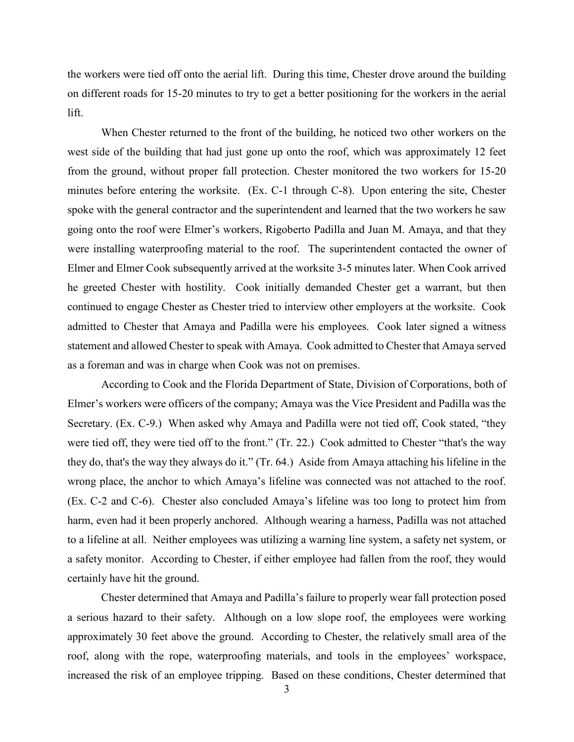the workers were tied off onto the aerial lift. During this time, Chester drove around the building on different roads for 15-20 minutes to try to get a better positioning for the workers in the aerial lift.

When Chester returned to the front of the building, he noticed two other workers on the west side of the building that had just gone up onto the roof, which was approximately 12 feet from the ground, without proper fall protection. Chester monitored the two workers for 15-20 minutes before entering the worksite. (Ex. C-1 through C-8). Upon entering the site, Chester spoke with the general contractor and the superintendent and learned that the two workers he saw going onto the roof were Elmer's workers, Rigoberto Padilla and Juan M. Amaya, and that they were installing waterproofing material to the roof. The superintendent contacted the owner of Elmer and Elmer Cook subsequently arrived at the worksite 3-5 minutes later. When Cook arrived he greeted Chester with hostility. Cook initially demanded Chester get a warrant, but then continued to engage Chester as Chester tried to interview other employers at the worksite. Cook admitted to Chester that Amaya and Padilla were his employees. Cook later signed a witness statement and allowed Chester to speak with Amaya. Cook admitted to Chester that Amaya served as a foreman and was in charge when Cook was not on premises.

According to Cook and the Florida Department of State, Division of Corporations, both of Elmer's workers were officers of the company; Amaya was the Vice President and Padilla was the Secretary. (Ex. C-9.) When asked why Amaya and Padilla were not tied off, Cook stated, "they were tied off, they were tied off to the front." (Tr. 22.) Cook admitted to Chester "that's the way they do, that's the way they always do it." (Tr. 64.) Aside from Amaya attaching his lifeline in the wrong place, the anchor to which Amaya's lifeline was connected was not attached to the roof. (Ex. C-2 and C-6). Chester also concluded Amaya's lifeline was too long to protect him from harm, even had it been properly anchored. Although wearing a harness, Padilla was not attached to a lifeline at all. Neither employees was utilizing a warning line system, a safety net system, or a safety monitor. According to Chester, if either employee had fallen from the roof, they would certainly have hit the ground.

Chester determined that Amaya and Padilla's failure to properly wear fall protection posed a serious hazard to their safety. Although on a low slope roof, the employees were working approximately 30 feet above the ground. According to Chester, the relatively small area of the roof, along with the rope, waterproofing materials, and tools in the employees' workspace, increased the risk of an employee tripping. Based on these conditions, Chester determined that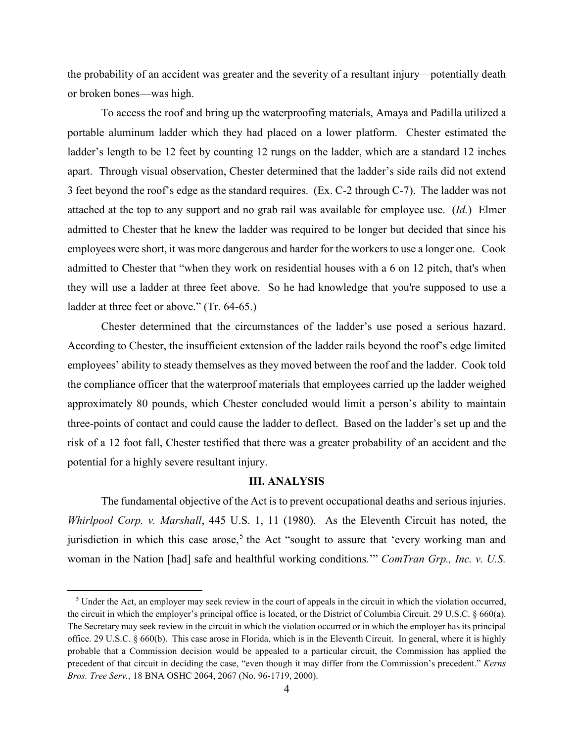the probability of an accident was greater and the severity of a resultant injury—potentially death or broken bones—was high.

To access the roof and bring up the waterproofing materials, Amaya and Padilla utilized a portable aluminum ladder which they had placed on a lower platform. Chester estimated the ladder's length to be 12 feet by counting 12 rungs on the ladder, which are a standard 12 inches apart. Through visual observation, Chester determined that the ladder's side rails did not extend 3 feet beyond the roof's edge as the standard requires. (Ex. C-2 through C-7). The ladder was not attached at the top to any support and no grab rail was available for employee use. (*Id.*) Elmer admitted to Chester that he knew the ladder was required to be longer but decided that since his employees were short, it was more dangerous and harder for the workers to use a longer one. Cook admitted to Chester that "when they work on residential houses with a 6 on 12 pitch, that's when they will use a ladder at three feet above. So he had knowledge that you're supposed to use a ladder at three feet or above." (Tr. 64-65.)

Chester determined that the circumstances of the ladder's use posed a serious hazard. According to Chester, the insufficient extension of the ladder rails beyond the roof's edge limited employees' ability to steady themselves as they moved between the roof and the ladder. Cook told the compliance officer that the waterproof materials that employees carried up the ladder weighed approximately 80 pounds, which Chester concluded would limit a person's ability to maintain three-points of contact and could cause the ladder to deflect. Based on the ladder's set up and the risk of a 12 foot fall, Chester testified that there was a greater probability of an accident and the potential for a highly severe resultant injury.

### **III. ANALYSIS**

The fundamental objective of the Act is to prevent occupational deaths and serious injuries. *Whirlpool Corp. v. Marshall*, 445 U.S. 1, 11 (1980). As the Eleventh Circuit has noted, the jurisdiction in which this case arose,<sup>[5](#page-3-0)</sup> the Act "sought to assure that 'every working man and woman in the Nation [had] safe and healthful working conditions.'" *ComTran Grp., Inc. v. U.S.* 

 $\overline{\phantom{a}}$ 

<span id="page-3-0"></span><sup>5</sup> Under the Act, an employer may seek review in the court of appeals in the circuit in which the violation occurred, the circuit in which the employer's principal office is located, or the District of Columbia Circuit. 29 U.S.C. § 660(a). The Secretary may seek review in the circuit in which the violation occurred or in which the employer has its principal office. 29 U.S.C. § 660(b). This case arose in Florida, which is in the Eleventh Circuit. In general, where it is highly probable that a Commission decision would be appealed to a particular circuit, the Commission has applied the precedent of that circuit in deciding the case, "even though it may differ from the Commission's precedent." *Kerns Bros. Tree Serv.*, 18 BNA OSHC 2064, 2067 (No. 96-1719, 2000).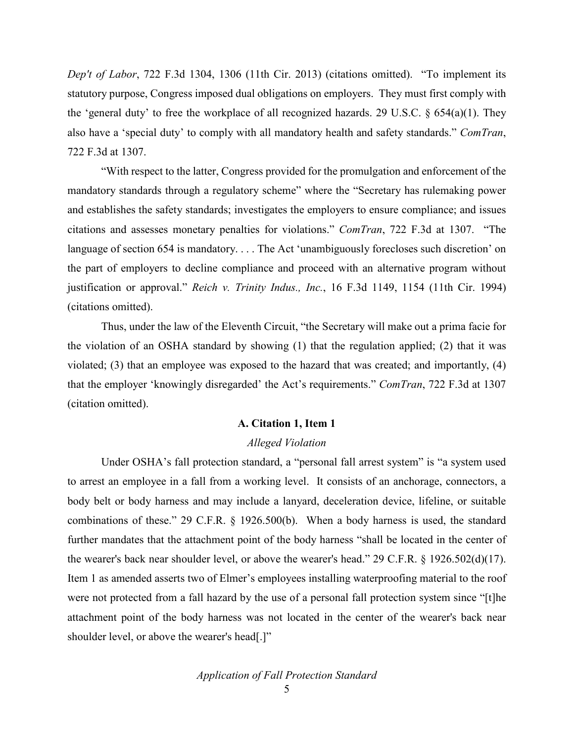*Dep't of Labor*, 722 F.3d 1304, 1306 (11th Cir. 2013) (citations omitted). "To implement its statutory purpose, Congress imposed dual obligations on employers. They must first comply with the 'general duty' to free the workplace of all recognized hazards. 29 U.S.C. § 654(a)(1). They also have a 'special duty' to comply with all mandatory health and safety standards." *ComTran*, 722 F.3d at 1307.

"With respect to the latter, Congress provided for the promulgation and enforcement of the mandatory standards through a regulatory scheme" where the "Secretary has rulemaking power and establishes the safety standards; investigates the employers to ensure compliance; and issues citations and assesses monetary penalties for violations." *ComTran*, 722 F.3d at 1307. "The language of section 654 is mandatory. . . . The Act 'unambiguously forecloses such discretion' on the part of employers to decline compliance and proceed with an alternative program without justification or approval." *Reich v. Trinity Indus., Inc.*, 16 F.3d 1149, 1154 (11th Cir. 1994) (citations omitted).

Thus, under the law of the Eleventh Circuit, "the Secretary will make out a prima facie for the violation of an OSHA standard by showing (1) that the regulation applied; (2) that it was violated; (3) that an employee was exposed to the hazard that was created; and importantly, (4) that the employer 'knowingly disregarded' the Act's requirements." *ComTran*, 722 F.3d at 1307 (citation omitted).

## **A. Citation 1, Item 1**

#### *Alleged Violation*

Under OSHA's fall protection standard, a "personal fall arrest system" is "a system used to arrest an employee in a fall from a working level. It consists of an anchorage, connectors, a body belt or body harness and may include a lanyard, deceleration device, lifeline, or suitable combinations of these." 29 C.F.R. § 1926.500(b). When a body harness is used, the standard further mandates that the attachment point of the body harness "shall be located in the center of the wearer's back near shoulder level, or above the wearer's head." 29 C.F.R. § 1926.502(d)(17). Item 1 as amended asserts two of Elmer's employees installing waterproofing material to the roof were not protected from a fall hazard by the use of a personal fall protection system since "[t]he attachment point of the body harness was not located in the center of the wearer's back near shoulder level, or above the wearer's head[.]"

*Application of Fall Protection Standard*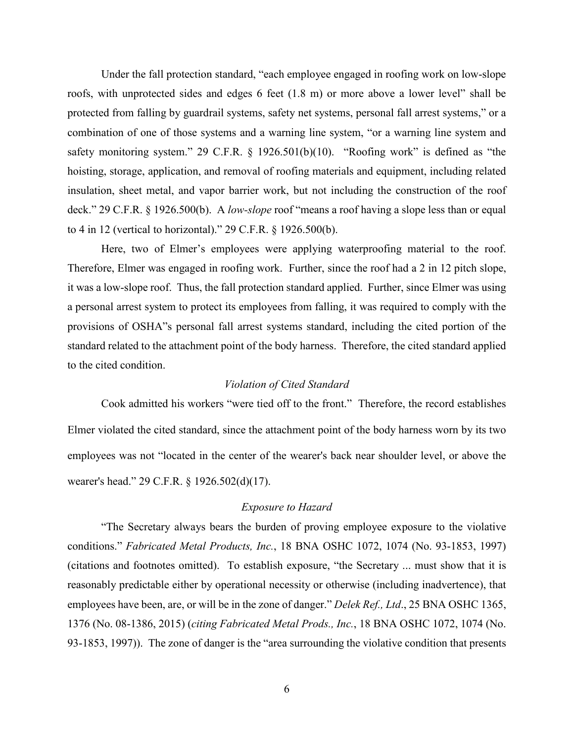Under the fall protection standard, "each employee engaged in roofing work on low-slope roofs, with unprotected sides and edges 6 feet (1.8 m) or more above a lower level" shall be protected from falling by guardrail systems, safety net systems, personal fall arrest systems," or a combination of one of those systems and a warning line system, "or a warning line system and safety monitoring system." 29 C.F.R. § 1926.501(b)(10). "Roofing work" is defined as "the hoisting, storage, application, and removal of roofing materials and equipment, including related insulation, sheet metal, and vapor barrier work, but not including the construction of the roof deck." 29 C.F.R. § 1926.500(b). A *low-slope* roof "means a roof having a slope less than or equal to 4 in 12 (vertical to horizontal)." 29 C.F.R. § 1926.500(b).

Here, two of Elmer's employees were applying waterproofing material to the roof. Therefore, Elmer was engaged in roofing work. Further, since the roof had a 2 in 12 pitch slope, it was a low-slope roof. Thus, the fall protection standard applied. Further, since Elmer was using a personal arrest system to protect its employees from falling, it was required to comply with the provisions of OSHA"s personal fall arrest systems standard, including the cited portion of the standard related to the attachment point of the body harness. Therefore, the cited standard applied to the cited condition.

#### *Violation of Cited Standard*

Cook admitted his workers "were tied off to the front." Therefore, the record establishes Elmer violated the cited standard, since the attachment point of the body harness worn by its two employees was not "located in the center of the wearer's back near shoulder level, or above the wearer's head." 29 C.F.R. § 1926.502(d)(17).

## *Exposure to Hazard*

"The Secretary always bears the burden of proving employee exposure to the violative conditions." *Fabricated Metal Products, Inc.*, 18 BNA OSHC 1072, 1074 (No. 93-1853, 1997) (citations and footnotes omitted). To establish exposure, "the Secretary ... must show that it is reasonably predictable either by operational necessity or otherwise (including inadvertence), that employees have been, are, or will be in the zone of danger." *Delek Ref., Ltd*., 25 BNA OSHC 1365, 1376 (No. 08-1386, 2015) (*citing Fabricated Metal Prods., Inc.*, 18 BNA OSHC 1072, 1074 (No. 93-1853, 1997)). The zone of danger is the "area surrounding the violative condition that presents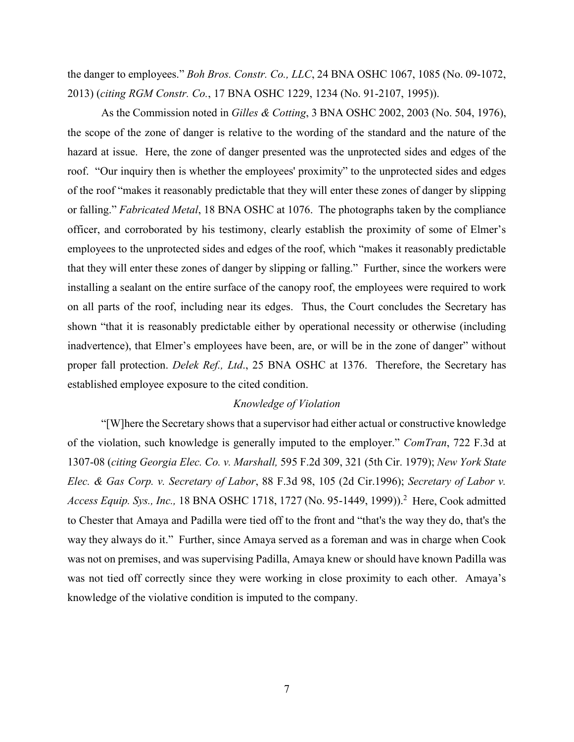the danger to employees." *Boh Bros. Constr. Co., LLC*, 24 BNA OSHC 1067, 1085 (No. 09-1072, 2013) (*citing RGM Constr. Co.*, 17 BNA OSHC 1229, 1234 (No. 91-2107, 1995)).

As the Commission noted in *Gilles & Cotting*, 3 BNA OSHC 2002, 2003 (No. 504, 1976), the scope of the zone of danger is relative to the wording of the standard and the nature of the hazard at issue. Here, the zone of danger presented was the unprotected sides and edges of the roof. "Our inquiry then is whether the employees' proximity" to the unprotected sides and edges of the roof "makes it reasonably predictable that they will enter these zones of danger by slipping or falling." *Fabricated Metal*, 18 BNA OSHC at 1076. The photographs taken by the compliance officer, and corroborated by his testimony, clearly establish the proximity of some of Elmer's employees to the unprotected sides and edges of the roof, which "makes it reasonably predictable that they will enter these zones of danger by slipping or falling." Further, since the workers were installing a sealant on the entire surface of the canopy roof, the employees were required to work on all parts of the roof, including near its edges. Thus, the Court concludes the Secretary has shown "that it is reasonably predictable either by operational necessity or otherwise (including inadvertence), that Elmer's employees have been, are, or will be in the zone of danger" without proper fall protection. *Delek Ref., Ltd*., 25 BNA OSHC at 1376. Therefore, the Secretary has established employee exposure to the cited condition.

## *Knowledge of Violation*

"[W]here the Secretary shows that a supervisor had either actual or constructive knowledge of the violation, such knowledge is generally imputed to the employer." *ComTran*, 722 F.3d at 1307-08 (*citing Georgia Elec. Co. v. Marshall,* 595 F.2d 309, 321 (5th Cir. 1979); *New York State Elec. & Gas Corp. v. Secretary of Labor*, 88 F.3d 98, 105 (2d Cir.1996); *Secretary of Labor v.*  Access Equip. Sys., Inc., 18 BNA OSHC 1718, 1727 (No. 95-1449, 1999)).<sup>2</sup> Here, Cook admitted to Chester that Amaya and Padilla were tied off to the front and "that's the way they do, that's the way they always do it." Further, since Amaya served as a foreman and was in charge when Cook was not on premises, and was supervising Padilla, Amaya knew or should have known Padilla was was not tied off correctly since they were working in close proximity to each other. Amaya's knowledge of the violative condition is imputed to the company.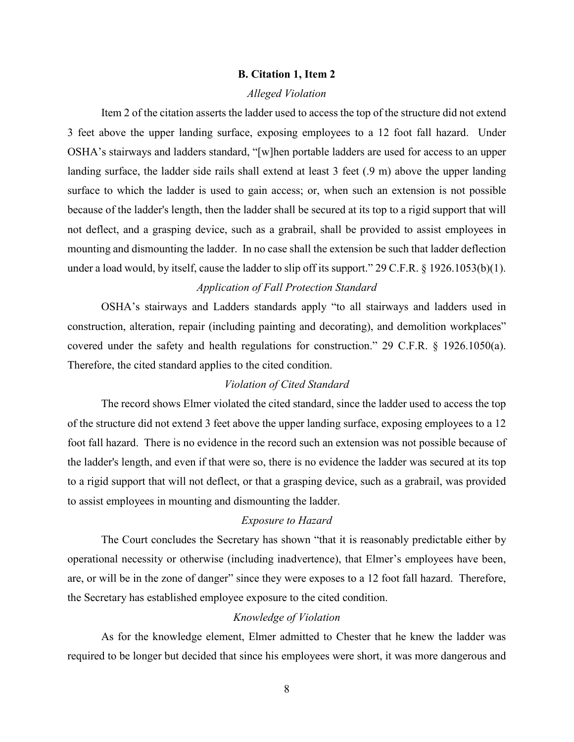## **B. Citation 1, Item 2**

## *Alleged Violation*

Item 2 of the citation asserts the ladder used to access the top of the structure did not extend 3 feet above the upper landing surface, exposing employees to a 12 foot fall hazard. Under OSHA's stairways and ladders standard, "[w]hen portable ladders are used for access to an upper landing surface, the ladder side rails shall extend at least 3 feet (.9 m) above the upper landing surface to which the ladder is used to gain access; or, when such an extension is not possible because of the ladder's length, then the ladder shall be secured at its top to a rigid support that will not deflect, and a grasping device, such as a grabrail, shall be provided to assist employees in mounting and dismounting the ladder. In no case shall the extension be such that ladder deflection under a load would, by itself, cause the ladder to slip off its support." 29 C.F.R. § 1926.1053(b)(1).

#### *Application of Fall Protection Standard*

OSHA's stairways and Ladders standards apply "to all stairways and ladders used in construction, alteration, repair (including painting and decorating), and demolition workplaces" covered under the safety and health regulations for construction." 29 C.F.R. § 1926.1050(a). Therefore, the cited standard applies to the cited condition.

#### *Violation of Cited Standard*

The record shows Elmer violated the cited standard, since the ladder used to access the top of the structure did not extend 3 feet above the upper landing surface, exposing employees to a 12 foot fall hazard. There is no evidence in the record such an extension was not possible because of the ladder's length, and even if that were so, there is no evidence the ladder was secured at its top to a rigid support that will not deflect, or that a grasping device, such as a grabrail, was provided to assist employees in mounting and dismounting the ladder.

# *Exposure to Hazard*

The Court concludes the Secretary has shown "that it is reasonably predictable either by operational necessity or otherwise (including inadvertence), that Elmer's employees have been, are, or will be in the zone of danger" since they were exposes to a 12 foot fall hazard. Therefore, the Secretary has established employee exposure to the cited condition.

## *Knowledge of Violation*

As for the knowledge element, Elmer admitted to Chester that he knew the ladder was required to be longer but decided that since his employees were short, it was more dangerous and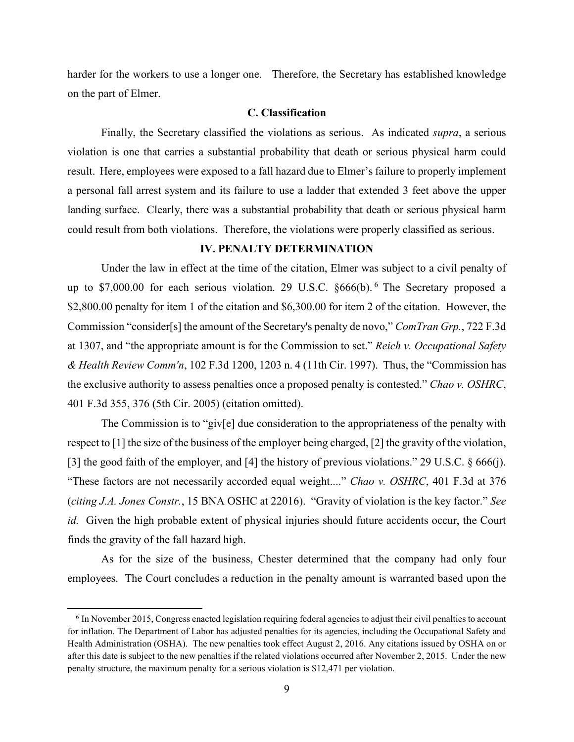harder for the workers to use a longer one. Therefore, the Secretary has established knowledge on the part of Elmer.

## **C. Classification**

Finally, the Secretary classified the violations as serious. As indicated *supra*, a serious violation is one that carries a substantial probability that death or serious physical harm could result. Here, employees were exposed to a fall hazard due to Elmer's failure to properly implement a personal fall arrest system and its failure to use a ladder that extended 3 feet above the upper landing surface. Clearly, there was a substantial probability that death or serious physical harm could result from both violations. Therefore, the violations were properly classified as serious.

## **IV. PENALTY DETERMINATION**

Under the law in effect at the time of the citation, Elmer was subject to a civil penalty of up to \$7,000.00 for each serious violation. 29 U.S.C. §[6](#page-8-0)66(b).<sup>6</sup> The Secretary proposed a \$2,800.00 penalty for item 1 of the citation and \$6,300.00 for item 2 of the citation. However, the Commission "consider[s] the amount of the Secretary's penalty de novo," *ComTran Grp.*, 722 F.3d at 1307, and "the appropriate amount is for the Commission to set." *Reich v. Occupational Safety & Health Review Comm'n*, 102 F.3d 1200, 1203 n. 4 (11th Cir. 1997). Thus, the "Commission has the exclusive authority to assess penalties once a proposed penalty is contested." *Chao v. OSHRC*, 401 F.3d 355, 376 (5th Cir. 2005) (citation omitted).

The Commission is to "giv[e] due consideration to the appropriateness of the penalty with respect to [1] the size of the business of the employer being charged, [2] the gravity of the violation, [3] the good faith of the employer, and [4] the history of previous violations." 29 U.S.C. § 666(j). "These factors are not necessarily accorded equal weight...." *Chao v. OSHRC*, 401 F.3d at 376 (*citing J.A. Jones Constr.*, 15 BNA OSHC at 22016). "Gravity of violation is the key factor." *See id.* Given the high probable extent of physical injuries should future accidents occur, the Court finds the gravity of the fall hazard high.

As for the size of the business, Chester determined that the company had only four employees. The Court concludes a reduction in the penalty amount is warranted based upon the

l

<span id="page-8-0"></span><sup>6</sup> In November 2015, Congress enacted legislation requiring federal agencies to adjust their civil penalties to account for inflation. The Department of Labor has adjusted penalties for its agencies, including the Occupational Safety and Health Administration (OSHA). The new penalties took effect August 2, 2016. Any citations issued by OSHA on or after this date is subject to the new penalties if the related violations occurred after November 2, 2015. Under the new penalty structure, the maximum penalty for a serious violation is \$12,471 per violation.